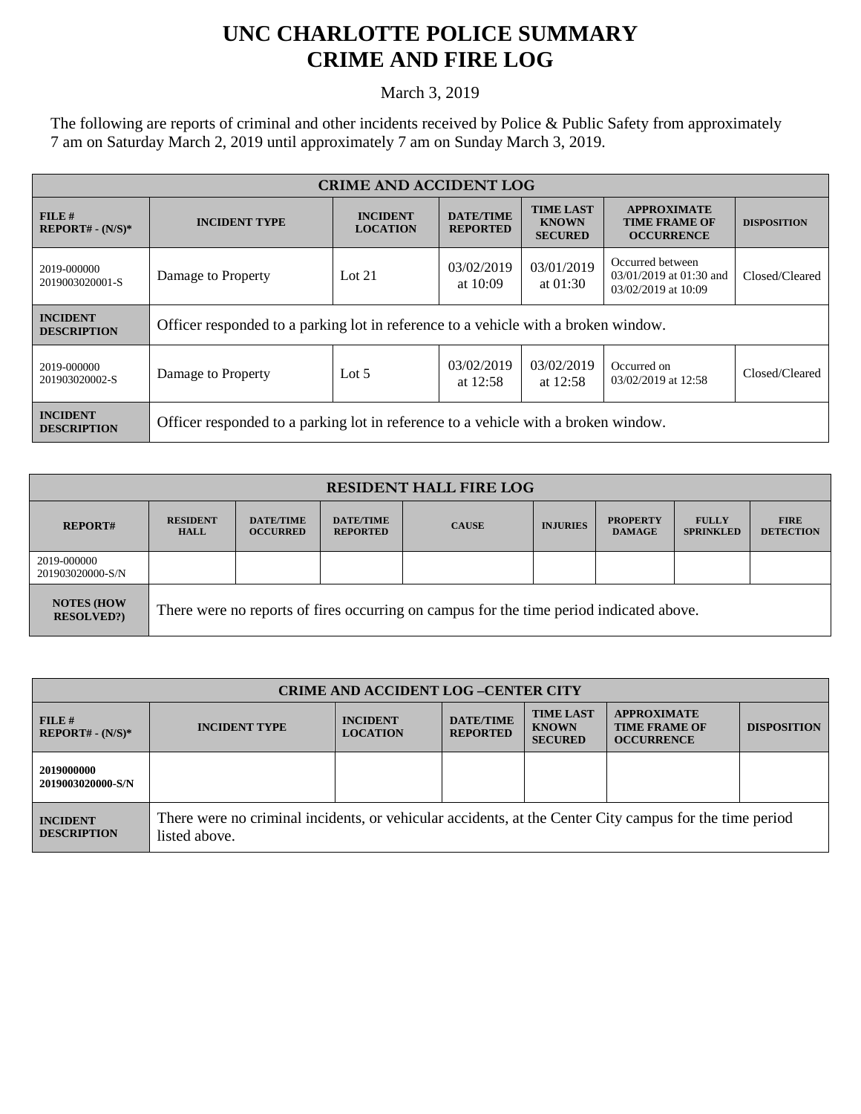## **UNC CHARLOTTE POLICE SUMMARY CRIME AND FIRE LOG**

March 3, 2019

The following are reports of criminal and other incidents received by Police & Public Safety from approximately 7 am on Saturday March 2, 2019 until approximately 7 am on Sunday March 3, 2019.

| <b>CRIME AND ACCIDENT LOG</b>         |                                                                                    |                                    |                                     |                                                    |                                                                    |                    |  |
|---------------------------------------|------------------------------------------------------------------------------------|------------------------------------|-------------------------------------|----------------------------------------------------|--------------------------------------------------------------------|--------------------|--|
| FILE#<br>$REPORT# - (N/S)*$           | <b>INCIDENT TYPE</b>                                                               | <b>INCIDENT</b><br><b>LOCATION</b> | <b>DATE/TIME</b><br><b>REPORTED</b> | <b>TIME LAST</b><br><b>KNOWN</b><br><b>SECURED</b> | <b>APPROXIMATE</b><br><b>TIME FRAME OF</b><br><b>OCCURRENCE</b>    | <b>DISPOSITION</b> |  |
| 2019-000000<br>2019003020001-S        | Damage to Property                                                                 | Lot $21$                           | 03/02/2019<br>at $10:09$            | 03/01/2019<br>at $01:30$                           | Occurred between<br>03/01/2019 at 01:30 and<br>03/02/2019 at 10:09 | Closed/Cleared     |  |
| <b>INCIDENT</b><br><b>DESCRIPTION</b> | Officer responded to a parking lot in reference to a vehicle with a broken window. |                                    |                                     |                                                    |                                                                    |                    |  |
| 2019-000000<br>201903020002-S         | Damage to Property                                                                 | Lot $5$                            | 03/02/2019<br>at $12:58$            | 03/02/2019<br>at $12:58$                           | Occurred on<br>03/02/2019 at 12:58                                 | Closed/Cleared     |  |
| <b>INCIDENT</b><br><b>DESCRIPTION</b> | Officer responded to a parking lot in reference to a vehicle with a broken window. |                                    |                                     |                                                    |                                                                    |                    |  |

| <b>RESIDENT HALL FIRE LOG</b>         |                                                                                         |                                     |                                     |              |                 |                                  |                                  |                                 |
|---------------------------------------|-----------------------------------------------------------------------------------------|-------------------------------------|-------------------------------------|--------------|-----------------|----------------------------------|----------------------------------|---------------------------------|
| <b>REPORT#</b>                        | <b>RESIDENT</b><br><b>HALL</b>                                                          | <b>DATE/TIME</b><br><b>OCCURRED</b> | <b>DATE/TIME</b><br><b>REPORTED</b> | <b>CAUSE</b> | <b>INJURIES</b> | <b>PROPERTY</b><br><b>DAMAGE</b> | <b>FULLY</b><br><b>SPRINKLED</b> | <b>FIRE</b><br><b>DETECTION</b> |
| 2019-000000<br>201903020000-S/N       |                                                                                         |                                     |                                     |              |                 |                                  |                                  |                                 |
| <b>NOTES (HOW</b><br><b>RESOLVED?</b> | There were no reports of fires occurring on campus for the time period indicated above. |                                     |                                     |              |                 |                                  |                                  |                                 |

| <b>CRIME AND ACCIDENT LOG-CENTER CITY</b> |                                                                                                                          |                                    |                                     |                                                    |                                                                 |                    |
|-------------------------------------------|--------------------------------------------------------------------------------------------------------------------------|------------------------------------|-------------------------------------|----------------------------------------------------|-----------------------------------------------------------------|--------------------|
| FILE H<br>$REPORT# - (N/S)*$              | <b>INCIDENT TYPE</b>                                                                                                     | <b>INCIDENT</b><br><b>LOCATION</b> | <b>DATE/TIME</b><br><b>REPORTED</b> | <b>TIME LAST</b><br><b>KNOWN</b><br><b>SECURED</b> | <b>APPROXIMATE</b><br><b>TIME FRAME OF</b><br><b>OCCURRENCE</b> | <b>DISPOSITION</b> |
| 2019000000<br>2019003020000-S/N           |                                                                                                                          |                                    |                                     |                                                    |                                                                 |                    |
| <b>INCIDENT</b><br><b>DESCRIPTION</b>     | There were no criminal incidents, or vehicular accidents, at the Center City campus for the time period<br>listed above. |                                    |                                     |                                                    |                                                                 |                    |